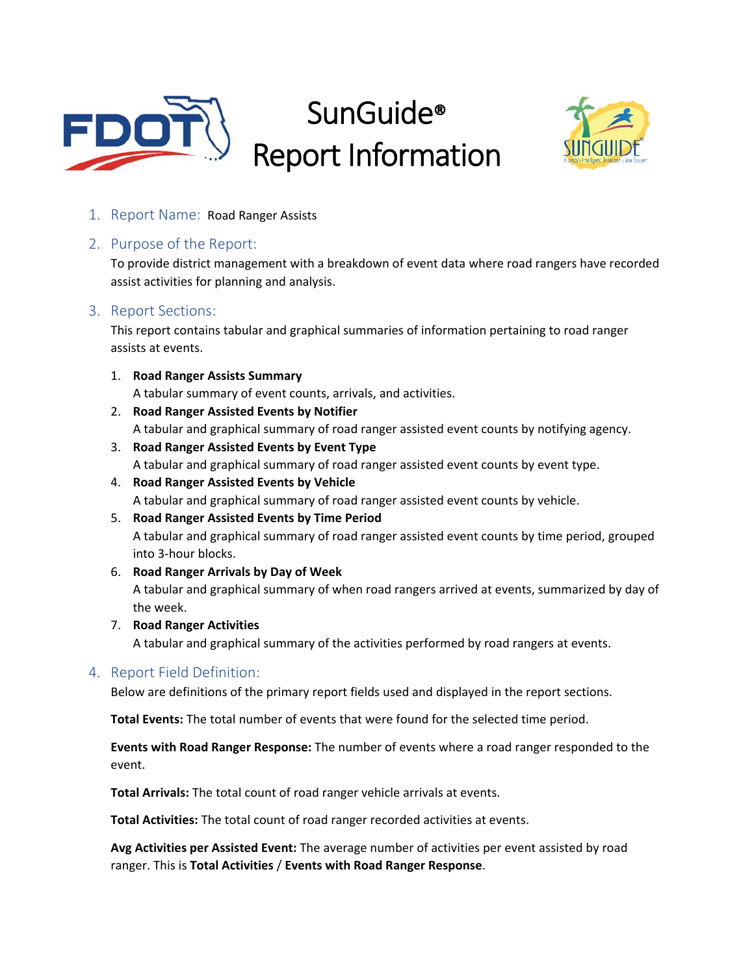

# SunGuide® Report Information



1. Report Name: Road Ranger Assists

# 2. Purpose of the Report:

To provide district management with a breakdown of event data where road rangers have recorded assist activities for planning and analysis.

# 3. Report Sections:

This report contains tabular and graphical summaries of information pertaining to road ranger assists at events.

1. **Road Ranger Assists Summary**

A tabular summary of event counts, arrivals, and activities.

- 2. **Road Ranger Assisted Events by Notifier** A tabular and graphical summary of road ranger assisted event counts by notifying agency.
- 3. **Road Ranger Assisted Events by Event Type** A tabular and graphical summary of road ranger assisted event counts by event type.
- 4. **Road Ranger Assisted Events by Vehicle** A tabular and graphical summary of road ranger assisted event counts by vehicle.
- 5. **Road Ranger Assisted Events by Time Period**

A tabular and graphical summary of road ranger assisted event counts by time period, grouped into 3‐hour blocks.

- 6. **Road Ranger Arrivals by Day of Week** A tabular and graphical summary of when road rangers arrived at events, summarized by day of the week.
- 7. **Road Ranger Activities**

A tabular and graphical summary of the activities performed by road rangers at events.

# 4. Report Field Definition:

Below are definitions of the primary report fields used and displayed in the report sections.

**Total Events:** The total number of events that were found for the selected time period.

**Events with Road Ranger Response:** The number of events where a road ranger responded to the event.

**Total Arrivals:** The total count of road ranger vehicle arrivals at events.

**Total Activities:** The total count of road ranger recorded activities at events.

**Avg Activities per Assisted Event:** The average number of activities per event assisted by road ranger. This is **Total Activities** / **Events with Road Ranger Response**.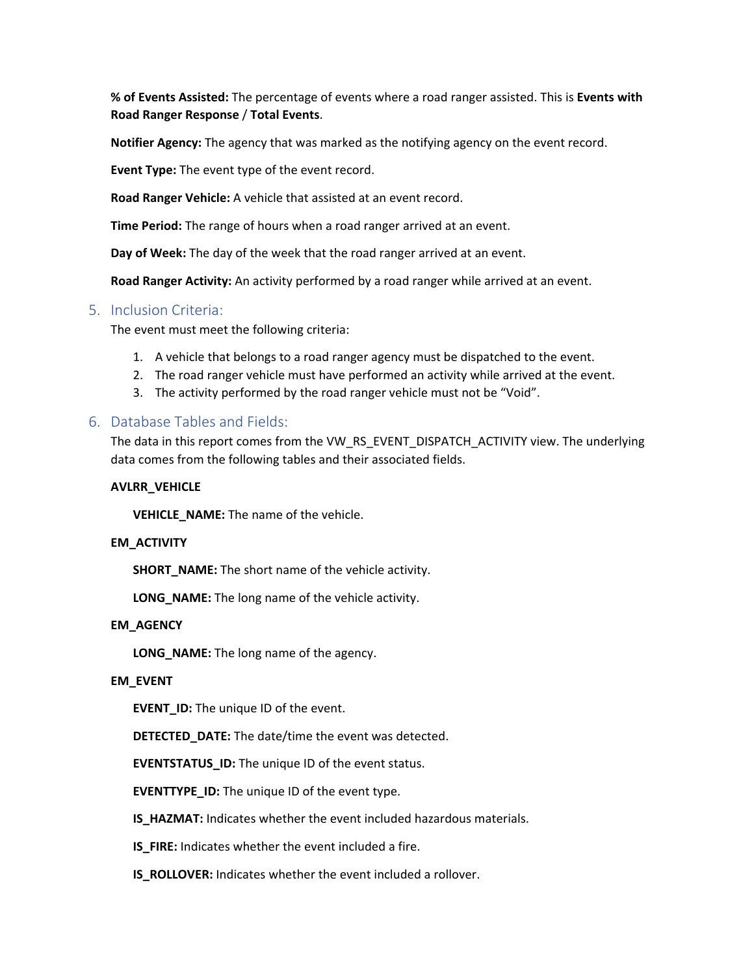**% of Events Assisted:** The percentage of events where a road ranger assisted. This is **Events with Road Ranger Response** / **Total Events**.

**Notifier Agency:** The agency that was marked as the notifying agency on the event record.

**Event Type:** The event type of the event record.

**Road Ranger Vehicle:** A vehicle that assisted at an event record.

**Time Period:** The range of hours when a road ranger arrived at an event.

**Day of Week:** The day of the week that the road ranger arrived at an event.

**Road Ranger Activity:** An activity performed by a road ranger while arrived at an event.

# 5. Inclusion Criteria:

The event must meet the following criteria:

- 1. A vehicle that belongs to a road ranger agency must be dispatched to the event.
- 2. The road ranger vehicle must have performed an activity while arrived at the event.
- 3. The activity performed by the road ranger vehicle must not be "Void".

# 6. Database Tables and Fields:

The data in this report comes from the VW\_RS\_EVENT\_DISPATCH\_ACTIVITY view. The underlying data comes from the following tables and their associated fields.

#### **AVLRR\_VEHICLE**

**VEHICLE\_NAME:** The name of the vehicle.

#### **EM\_ACTIVITY**

**SHORT** NAME: The short name of the vehicle activity.

**LONG\_NAME:** The long name of the vehicle activity.

#### **EM\_AGENCY**

**LONG\_NAME:** The long name of the agency.

#### **EM\_EVENT**

**EVENT\_ID:** The unique ID of the event.

**DETECTED\_DATE:** The date/time the event was detected.

**EVENTSTATUS\_ID:** The unique ID of the event status.

**EVENTTYPE\_ID:** The unique ID of the event type.

**IS\_HAZMAT:** Indicates whether the event included hazardous materials.

**IS\_FIRE:** Indicates whether the event included a fire.

**IS\_ROLLOVER:** Indicates whether the event included a rollover.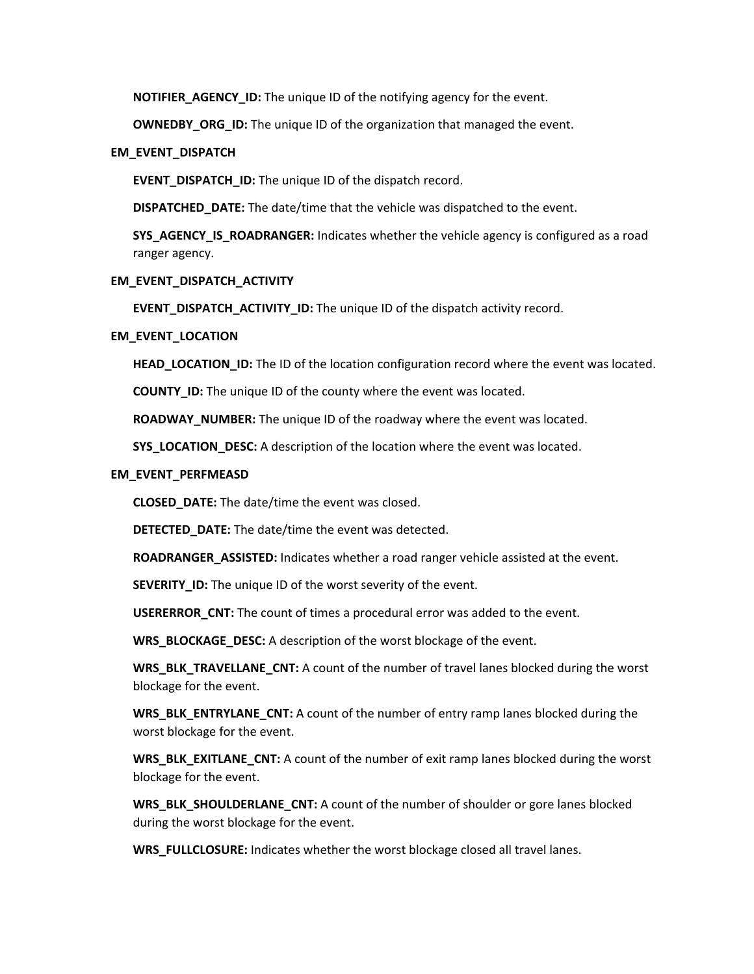**NOTIFIER AGENCY ID:** The unique ID of the notifying agency for the event.

**OWNEDBY\_ORG\_ID:** The unique ID of the organization that managed the event.

#### **EM\_EVENT\_DISPATCH**

**EVENT\_DISPATCH\_ID:** The unique ID of the dispatch record.

**DISPATCHED\_DATE:** The date/time that the vehicle was dispatched to the event.

**SYS\_AGENCY\_IS\_ROADRANGER:** Indicates whether the vehicle agency is configured as a road ranger agency.

#### **EM\_EVENT\_DISPATCH\_ACTIVITY**

**EVENT\_DISPATCH\_ACTIVITY\_ID:** The unique ID of the dispatch activity record.

#### **EM\_EVENT\_LOCATION**

**HEAD\_LOCATION\_ID:** The ID of the location configuration record where the event was located.

**COUNTY\_ID:** The unique ID of the county where the event was located.

**ROADWAY\_NUMBER:** The unique ID of the roadway where the event was located.

**SYS\_LOCATION\_DESC:** A description of the location where the event was located.

#### **EM\_EVENT\_PERFMEASD**

**CLOSED\_DATE:** The date/time the event was closed.

**DETECTED\_DATE:** The date/time the event was detected.

**ROADRANGER\_ASSISTED:** Indicates whether a road ranger vehicle assisted at the event.

**SEVERITY\_ID:** The unique ID of the worst severity of the event.

**USERERROR\_CNT:** The count of times a procedural error was added to the event.

**WRS\_BLOCKAGE\_DESC:** A description of the worst blockage of the event.

**WRS\_BLK\_TRAVELLANE\_CNT:** A count of the number of travel lanes blocked during the worst blockage for the event.

**WRS\_BLK\_ENTRYLANE\_CNT:** A count of the number of entry ramp lanes blocked during the worst blockage for the event.

**WRS\_BLK\_EXITLANE\_CNT:** A count of the number of exit ramp lanes blocked during the worst blockage for the event.

**WRS\_BLK\_SHOULDERLANE\_CNT:** A count of the number of shoulder or gore lanes blocked during the worst blockage for the event.

**WRS\_FULLCLOSURE:** Indicates whether the worst blockage closed all travel lanes.